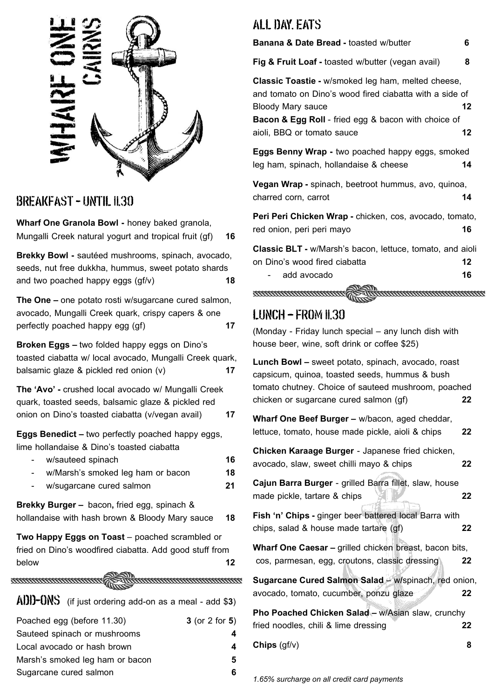

#### **BREAKFAST - UNTIL 11.30**

**Wharf One Granola Bowl -** honey baked granola, Mungalli Creek natural yogurt and tropical fruit (gf) **16**

**Brekky Bowl -** sautéed mushrooms, spinach, avocado, seeds, nut free dukkha, hummus, sweet potato shards and two poached happy eggs (gf/v) **18**

**The One –** one potato rosti w/sugarcane cured salmon, avocado, Mungalli Creek quark, crispy capers & one perfectly poached happy egg (gf) **17**

**Broken Eggs –** two folded happy eggs on Dino's toasted ciabatta w/ local avocado, Mungalli Creek quark, balsamic glaze & pickled red onion (v) **17**

**The 'Avo' -** crushed local avocado w/ Mungalli Creek quark, toasted seeds, balsamic glaze & pickled red onion on Dino's toasted ciabatta (v/vegan avail) **17**

**Eggs Benedict –** two perfectly poached happy eggs, lime hollandaise & Dino's toasted ciabatta

| $\sim$ | w/sauteed spinach                 | 16 |
|--------|-----------------------------------|----|
|        | w/Marsh's smoked leg ham or bacon | 18 |

- w/sugarcane cured salmon **21**

**Brekky Burger –** bacon**,** fried egg, spinach & hollandaise with hash brown & Bloody Mary sauce **18**

**Two Happy Eggs on Toast** – poached scrambled or fried on Dino's woodfired ciabatta. Add good stuff from below **12** 

**ENTREDED EN ENTREDED EN 1879** 

(if just ordering add-on as a meal - add \$**3**) Poached egg (before 11.30) **3** (or 2 for **5**) Sauteed spinach or mushrooms **4** Local avocado or hash brown **4**

Marsh's smoked leg ham or bacon **5** Sugarcane cured salmon **6** 

#### ALL DAY, EATS

#### **Banana & Date Bread -** toasted w/butter **6**

**Fig & Fruit Loaf -** toasted w/butter (vegan avail) **8**

**Classic Toastie -** w/smoked leg ham, melted cheese, and tomato on Dino's wood fired ciabatta with a side of Bloody Mary sauce **12**

**Bacon & Egg Roll** - fried egg & bacon with choice of aioli, BBQ or tomato sauce **12**

**Eggs Benny Wrap -** two poached happy eggs, smoked leg ham, spinach, hollandaise & cheese **14**

**Vegan Wrap -** spinach, beetroot hummus, avo, quinoa, charred corn, carrot **14**

**Peri Peri Chicken Wrap -** chicken, cos, avocado, tomato, red onion, peri peri mayo **16**

**Classic BLT -** w/Marsh's bacon, lettuce, tomato, and aioli on Dino's wood fired ciabatta **12** - add avocado **16**

**TENTORIAL CONSTRUCTION IN THE CONSTRUCTION OF THE CONSTRUCTION OF THE CONSTRUCTION OF THE CONSTRUCTION OF THE** 

#### $LIMCH - FROM 11.30$

(Monday - Friday lunch special – any lunch dish with house beer, wine, soft drink or coffee \$25)

**Lunch Bowl –** sweet potato, spinach, avocado, roast capsicum, quinoa, toasted seeds, hummus & bush tomato chutney. Choice of sauteed mushroom, poached chicken or sugarcane cured salmon (gf) **22**

**Wharf One Beef Burger –** w/bacon, aged cheddar, lettuce, tomato, house made pickle, aioli & chips **22**

**Chicken Karaage Burger** - Japanese fried chicken, avocado, slaw, sweet chilli mayo & chips **22**

**Cajun Barra Burger** - grilled Barra fillet, slaw, house made pickle, tartare & chips **22**

**Fish 'n' Chips -** ginger beer battered local Barra with chips, salad & house made tartare (gf) **22**

Wharf One Caesar – grilled chicken breast, bacon bits, cos, parmesan, egg, croutons, classic dressing **22**

**Sugarcane Cured Salmon Salad** – w**/**spinach, red onion, avocado, tomato, cucumber, ponzu glaze **22**

**Pho Poached Chicken Salad –** w/Asian slaw, crunchy fried noodles, chili & lime dressing **22**

**Chips** (gf/v) **8**

*1.65% surcharge on all credit card payments*